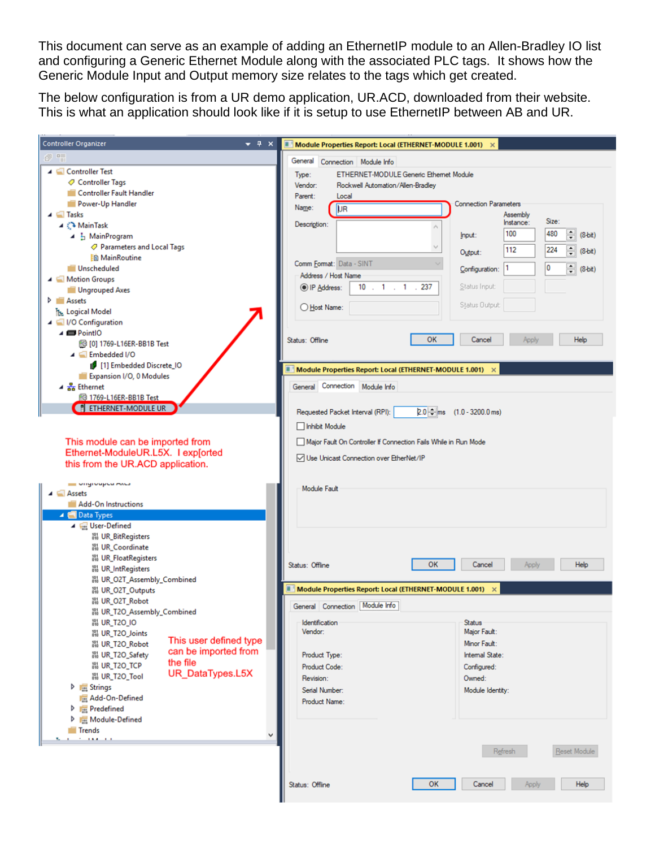This document can serve as an example of adding an EthernetIP module to an Allen-Bradley IO list and configuring a Generic Ethernet Module along with the associated PLC tags. It shows how the Generic Module Input and Output memory size relates to the tags which get created.

The below configuration is from a UR demo application, UR.ACD, downloaded from their website. This is what an application should look like if it is setup to use EthernetIP between AB and UR.

| <b>Controller Organizer</b><br>$\bullet$ # $\times$                   | Module Properties Report: Local (ETHERNET-MODULE 1.001)         |                                              |
|-----------------------------------------------------------------------|-----------------------------------------------------------------|----------------------------------------------|
| $\theta$ "                                                            | General Connection Module Info                                  |                                              |
| ▲ Controller Test                                                     | ETHERNET-MODULE Generic Ethernet Module<br>Type:                |                                              |
| Controller Tags                                                       | Rockwell Automation/Allen-Bradley<br>Vendor:                    |                                              |
| Controller Fault Handler                                              | Parent:<br>Local                                                |                                              |
| Power-Up Handler                                                      | <b>DR</b><br>Name:                                              | <b>Connection Parameters</b>                 |
| <b>⊿</b> Tasks                                                        | Description:                                                    | Assembly<br>Size:<br>Instance:               |
| ⊿ <sup>2</sup> MainTask<br>$\blacktriangle$ $\frac{1}{2}$ MainProgram |                                                                 | 100<br>480<br>$\div$<br>$(8-bit)$<br>Input:  |
| ○ Parameters and Local Tags                                           |                                                                 |                                              |
| <b>En MainRoutine</b>                                                 |                                                                 | $\div$<br>112<br>224<br>$(8-bit)$<br>Output: |
| Unscheduled                                                           | Comm Format: Data - SINT                                        | 10<br>쉬<br>1<br>Configuration:<br>$(8-bit)$  |
| ▲ Motion Groups                                                       | Address / Host Name                                             |                                              |
| Ungrouped Axes                                                        | $10$ $1$ $1$ $1$ $1$<br>237<br>O IP Address:                    | Status Input:                                |
| <b>D Assets</b>                                                       | ◯ Host Name:                                                    | Status Output:                               |
| T <sub>DE</sub> Logical Model                                         |                                                                 |                                              |
| I/O Configuration<br>$\triangle$ $\blacksquare$ PointlO               |                                                                 |                                              |
| <b>10 [0] 1769-L16ER-BB1B Test</b>                                    | Status: Offline                                                 | <b>OK</b><br>Cancel<br>Help<br>Apply         |
| $\triangle$ Embedded I/O                                              |                                                                 |                                              |
| [1] Embedded Discrete_IO                                              | Π<br>Module Properties Report: Local (ETHERNET-MODULE 1.001)    |                                              |
| Expansion I/O, 0 Modules                                              |                                                                 |                                              |
| $\triangleq \frac{P}{\sqrt{2a}}$ Ethernet                             | General Connection Module Info                                  |                                              |
| <b>1769-L16ER-BB1B Test</b><br><b>FI ETHERNET-MODULE UR</b>           |                                                                 |                                              |
|                                                                       | Requested Packet Interval (RPI):                                | $2.0 - \frac{2}{3}$ ms (1.0 - 3200.0 ms)     |
|                                                                       | □ Inhibit Module                                                |                                              |
| This module can be imported from                                      | Major Fault On Controller If Connection Fails While in Run Mode |                                              |
| Ethernet-ModuleUR.L5X. I exp[orted                                    | Use Unicast Connection over EtherNet/IP                         |                                              |
| this from the UR.ACD application.                                     |                                                                 |                                              |
| <b>SEE VIRGIVUPLU MALS</b>                                            |                                                                 |                                              |
| $\triangle$ $\triangle$ Assets                                        | <b>Module Fault</b>                                             |                                              |
| Add-On Instructions                                                   |                                                                 |                                              |
| ▲ <b>△</b> Data Types                                                 |                                                                 |                                              |
| 4 Vall User-Defined<br><b>191 UR_BitRegisters</b>                     |                                                                 |                                              |
| 調 UR_Coordinate                                                       |                                                                 |                                              |
| <b>88 UR_FloatRegisters</b>                                           |                                                                 |                                              |
| <b>M</b> UR_IntRegisters                                              | Status: Offline                                                 | OK<br>Help<br>Cancel<br>Apply                |
| 品 UR_O2T_Assembly_Combined                                            |                                                                 |                                              |
| 調 UR_O2T_Outputs<br>間 UR_O2T_Robot                                    | Module Properties Report: Local (ETHERNET-MODULE 1.001)         | $\times$                                     |
| M UR_T2O_Assembly_Combined                                            | General Connection   Module Info                                |                                              |
| <b>鍋 UR_T2O_IO</b>                                                    | Identification                                                  | <b>Status</b>                                |
| 調 UR_T2O_Joints                                                       | Vendor:                                                         | Major Fault:                                 |
| This user defined type<br>器 UR_T2O_Robot<br>can be imported from      |                                                                 | Minor Fault:                                 |
| 器 UR_T2O_Safety<br>the file                                           | Product Type:                                                   | Internal State:                              |
| <b>鍋 UR_T2O_TCP</b><br>UR_DataTypes.L5X<br>器 UR_T2O_Tool              | Product Code:                                                   | Configured:                                  |
| <b>D</b> <sub>nes</sub> Strings                                       | Revision:                                                       | Owned:<br>Module Identity:                   |
| <b>Real</b> Add-On-Defined                                            | Serial Number:<br>Product Name:                                 |                                              |
| $\triangleright$ $\blacksquare$ Predefined                            |                                                                 |                                              |
| D <sub>100</sub> Module-Defined                                       |                                                                 |                                              |
| Trends<br>2012/01/12 12:00                                            |                                                                 |                                              |
|                                                                       |                                                                 | Reset Module<br>Refresh                      |
|                                                                       |                                                                 |                                              |
|                                                                       |                                                                 |                                              |
|                                                                       | Status: Offline                                                 | OK<br>Cancel<br>Help<br>Apply                |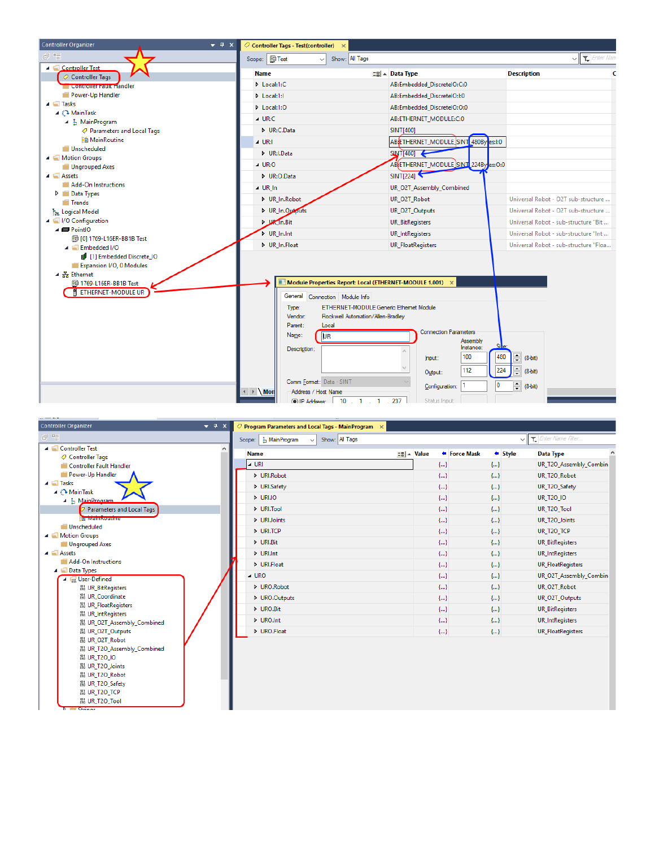



| Show: All Tags<br>I <sub>n</sub> MainProgram<br>Scope:<br>$\checkmark$ |                                   |              | Enter Name Filter<br>$\checkmark$         |  |
|------------------------------------------------------------------------|-----------------------------------|--------------|-------------------------------------------|--|
| <b>Name</b>                                                            | $\equiv$ $\parallel$ $\sim$ Value | ← Force Mask | $\triangleleft$ Style<br><b>Data Type</b> |  |
| $\triangle$ URI                                                        | ${}$                              | ${}$         | UR_T2O_Assembly_Combin                    |  |
| D URI.Robot                                                            | ${}$                              | ${}$         | UR_T2O_Robot                              |  |
| D URI.Safety                                                           | ${}$                              | ${}$         | UR_T2O_Safety                             |  |
| D URI.IO                                                               | ${}$                              | ${}$         | UR_T20_IO                                 |  |
| D URI.Tool                                                             | ${}$                              | ${}$         | UR_T2O_Tool                               |  |
| D URIJoints                                                            | ${}$                              | ${}$         | UR_T2O_Joints                             |  |
| D URI.TCP                                                              | ${}$                              | ${}$         | UR_T2O_TCP                                |  |
| D URI.Bit                                                              | ${}$                              | ${}$         | <b>UR_BitRegisters</b>                    |  |
| D URI.Int                                                              | ${}$                              | ${,}$        | <b>UR_IntRegisters</b>                    |  |
| D URI.Float                                                            | ${}$                              | ${}$         | UR_FloatRegisters                         |  |
| $\triangle$ URO                                                        | ${}$                              | ${}$         | UR_O2T_Assembly_Combin                    |  |
| D URO.Robot                                                            | ${}$                              | ${}$         | UR_O2T_Robot                              |  |
| D URO.Outputs                                                          | ${}$                              | ${}$         | UR_O2T_Outputs                            |  |
| D URO.Bit                                                              | ${}$                              | ${}$         | <b>UR_BitRegisters</b>                    |  |
| D URO.Int                                                              | ${,}$                             | ${}$         | <b>UR_IntRegisters</b>                    |  |
| D URO.Float                                                            | ${}$                              | ${}$         | <b>UR_FloatRegisters</b>                  |  |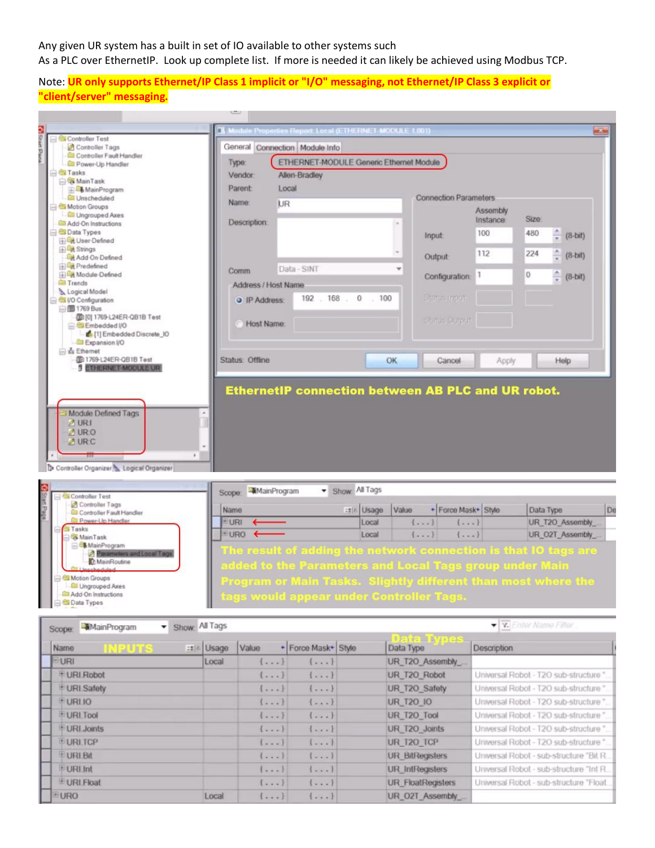Any given UR system has a built in set of IO available to other systems such As a PLC over EthernetIP. Look up complete list. If more is needed it can likely be achieved using Modbus TCP.

Note: **UR only supports Ethernet/IP Class 1 implicit or "I/O" messaging, not Ethernet/IP Class 3 explicit or "client/server" messaging.**

|                                                                                                                                                     |                     | Module Properties Report: Local (ETHERNET MODULE 1.001)                                                                                                                                    |                                      |         |                              |           | ort Chin         |
|-----------------------------------------------------------------------------------------------------------------------------------------------------|---------------------|--------------------------------------------------------------------------------------------------------------------------------------------------------------------------------------------|--------------------------------------|---------|------------------------------|-----------|------------------|
| Controller Test<br>Controller Tags                                                                                                                  |                     | General Connection Module Info                                                                                                                                                             |                                      |         |                              |           |                  |
| <b>Gill</b> Controller Fault Handler                                                                                                                |                     |                                                                                                                                                                                            |                                      |         |                              |           |                  |
| <b>GII Power-Up Handler</b><br><b>Cu</b> Tasks                                                                                                      | Type:               | ETHERNET-MODULE Generic Ethernet Module                                                                                                                                                    |                                      |         |                              |           |                  |
| <b>S</b> MainTask                                                                                                                                   | Vendor              | Allen-Bradley                                                                                                                                                                              |                                      |         |                              |           |                  |
| MainProgram                                                                                                                                         | Parent              | Local                                                                                                                                                                                      |                                      |         |                              |           |                  |
| <b>III</b> Unscheduled                                                                                                                              | Name:               | UR                                                                                                                                                                                         |                                      |         | <b>Connection Parameters</b> |           |                  |
| <b>Motion Groups</b><br><b>Com</b> Ungrouped Axes                                                                                                   |                     |                                                                                                                                                                                            |                                      |         | Assembly                     |           |                  |
| <b>Gill Add-On Instructions</b>                                                                                                                     | Description:        |                                                                                                                                                                                            |                                      |         | Instance                     | Size:     |                  |
| <b>B</b> Data Types                                                                                                                                 |                     |                                                                                                                                                                                            |                                      | Input   | 100                          | 480       | $(8-bit)$        |
| <b>Til Get User-Defined</b>                                                                                                                         |                     |                                                                                                                                                                                            |                                      |         |                              |           |                  |
| <b>ED</b> & Strings<br><b>Cat</b> Add On Defined                                                                                                    |                     |                                                                                                                                                                                            |                                      | Output  | 112                          | 224       | $(8-hit)$        |
| <b>TEL</b> Predefined                                                                                                                               |                     | Data - SINT                                                                                                                                                                                |                                      |         |                              |           |                  |
| <b>Hilled</b> Module-Defined                                                                                                                        | Comm                |                                                                                                                                                                                            |                                      |         | 11<br>Configuration          | 0         | $(8-bit)$        |
| <b>Ell Trends</b>                                                                                                                                   | Address / Host Name |                                                                                                                                                                                            |                                      |         |                              |           |                  |
| b. Logical Model<br>VO Configuration                                                                                                                | <b>a</b> IP Address | 192 . 168 .                                                                                                                                                                                | $\mathbf{0}$<br>100<br>$\mathcal{L}$ |         | <b>Status Input</b>          |           |                  |
| □图 1769 Bus                                                                                                                                         |                     |                                                                                                                                                                                            |                                      |         |                              |           |                  |
| 2010) 1769-L24ER-QB1B Test                                                                                                                          |                     |                                                                                                                                                                                            |                                      |         | Status Curput                |           |                  |
| <b>E</b> <i><b>C</b>I</i> Embedded I/O                                                                                                              | <b>Host Name</b>    |                                                                                                                                                                                            |                                      |         |                              |           |                  |
| [1] Embedded Discrete_IO<br>Expansion I/O                                                                                                           |                     |                                                                                                                                                                                            |                                      |         |                              |           |                  |
| Sa Ethernet                                                                                                                                         |                     |                                                                                                                                                                                            |                                      |         |                              |           |                  |
| <b>30 1769-124ER-QB1B Test</b>                                                                                                                      | Status: Offline     |                                                                                                                                                                                            |                                      | OK      | Cancel                       | Apply     | Help             |
| <b>5 ETHERNET-MODULE UR</b>                                                                                                                         |                     |                                                                                                                                                                                            |                                      |         |                              |           |                  |
| Module Defined Tags<br>$M$ UR1<br>MURO<br>$M$ URC                                                                                                   |                     | <b>EthernetIP connection between AB PLC and UR robot.</b>                                                                                                                                  |                                      |         |                              |           |                  |
| Controller Organizer <sup>1</sup> Logical Organizer<br>Controller Test                                                                              | Scope:              | Show: All Tags<br>MainProgram                                                                                                                                                              |                                      |         |                              |           |                  |
| Controller Tags<br>Controller Fault Handler                                                                                                         | Name                |                                                                                                                                                                                            | =: L Usage                           | Value   | + Force Mask+ Style          | Data Type | De               |
| <b>D</b> Power-Up Handler                                                                                                                           | URI.                |                                                                                                                                                                                            | Local                                | $\{ \}$ | $\{ \}$                      |           | UR_T2O_Assembly_ |
| Tasks<br><b>MainTask</b>                                                                                                                            | DRO +               |                                                                                                                                                                                            | Local                                | $\{ \}$ | $\{ \}$                      |           | UR_O2T_Assembly_ |
| MainProgram<br>Parameters and Local Tags<br><b>To MainRoutine</b><br>Motion Groups<br><b>Cill</b> Ungrouped Axes<br><b>Gill Add-On Instructions</b> |                     | The result of adding the network connection is that IO tags are<br>dded to the Parameters and Local Tags group under Main<br>Program or Main Tasks. Slightly different than most where the |                                      |         |                              |           |                  |
| <b>Co</b> Data Types                                                                                                                                |                     | lags would appear under Controller Tags.                                                                                                                                                   |                                      |         |                              |           |                  |
|                                                                                                                                                     |                     |                                                                                                                                                                                            |                                      |         |                              |           |                  |

| Show All Tags<br>-MainProgram<br>▾<br>Scope: |            | V V Enter Name Filler   |                         |                          |                                        |
|----------------------------------------------|------------|-------------------------|-------------------------|--------------------------|----------------------------------------|
| Name                                         | =#le Usage | Value                   | + Force Mask+ Style     | Data Type                | Description                            |
| <b>EURI</b>                                  | Local      | $1 + 1$                 | $1 - - 1$               | UR_T2O_Assembly          |                                        |
| # URI Robot                                  |            | $\{ \}$                 | $\{ \}$                 | UR_T2O_Robot             | Universal Robot - T2O sub-structure"   |
| + URI Safety                                 |            | $\{ \}$                 | $\{\\$                  | UR T2O Safety            | Universal Robot - T2O sub-structure "  |
| <b>EURLIO</b>                                |            | $1 - - 1$               | $\{ -1, -1 \}$          | <b>UR T20 10</b>         | Universal Robot - T2O sub-structure"   |
| <b>EURLTool</b>                              |            | $\{ \}$                 | ${}$                    | UR_T2O_Tool              | Universal Robot - T2O sub-structure"   |
| URI Joints                                   |            | $\{\\$                  | $1 - 1$                 | UR T2O Joints            | Universal Robot - T2O sub-structure "  |
| <b>EURLICP</b>                               |            | $(1 - 1)$               | $1 - 1$                 | UR T20_TCP               | Universal Robot - T2O sub-structure "  |
| <b>EURLBI</b>                                |            |                         | $\left[\ldots\right]$   | <b>UR BilRegisters</b>   | Universal Robot - sub-structure "Bit R |
| E URI Int                                    |            | $1 - 1$                 | $1 - 1$                 | <b>UR</b> IntRegisters   | Universal Robot - sub-structure "Int R |
| E URLFloat                                   |            | $\{ \}$                 | $\{ \}$                 | <b>UR FloatRegisters</b> | Universal Robot - sub-structure "Float |
| EURO                                         | Local      | $\left[ \ldots \right]$ | $\left( \ldots \right)$ | UR O2T Assembly          |                                        |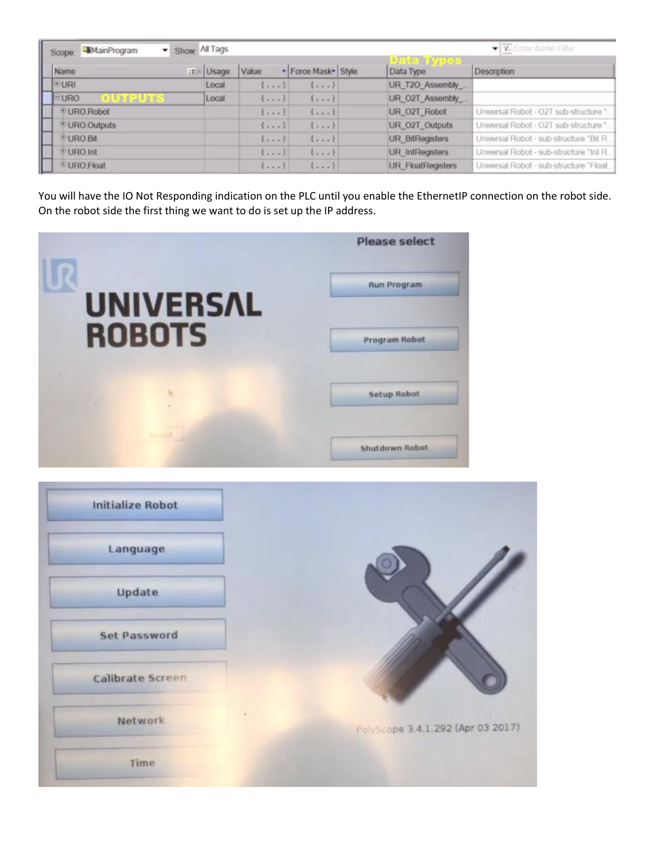| Show: All Tags<br>MainProgram<br>Scope: |             |                       |                    |  |                          | V Cater Name Filer                       |  |  |
|-----------------------------------------|-------------|-----------------------|--------------------|--|--------------------------|------------------------------------------|--|--|
| Name                                    | :: le Usage | Value                 | · Force Mask Style |  | Data Type                | <b>Description</b>                       |  |  |
| EURI                                    | Local       | $1 + 1 - 1$           | $1 - - 1$          |  | UR_T2O_Assembly          |                                          |  |  |
| <b>EURO</b>                             | Local       | $\{ \}$               | $\{ \}$            |  | UR_O2T_Assembly          |                                          |  |  |
| + URO Robot                             |             | $\left[\ldots\right]$ | $1 - 1$            |  | UR O2T Robot             | Universal Robot - O2T sub-structure"     |  |  |
| URO Outputs                             |             | $\left\{ \cdots$      | $\{ \}$            |  | UR_O2T_Outputs           | Universal Robot - O2T sub-structure "    |  |  |
| <sup>+</sup> URO Bit                    |             | $(1 - 1)$             | $\{ \}$            |  | <b>UR BitRegisters</b>   | Universal Robot - sub-structure "Bit R.  |  |  |
| + URO Int                               |             | $- - -$               | $\{\\.$            |  | <b>UR</b> IntRegisters   | Universal Robot - sub-structure "Int R., |  |  |
| E URO Float                             |             | $1 + 1 + 1$           | $- - - 1$          |  | <b>UR FloatRegisters</b> | Universal Robot - sub-structure "Float   |  |  |

You will have the IO Not Responding indication on the PLC until you enable the EthernetIP connection on the robot side. On the robot side the first thing we want to do is set up the IP address.



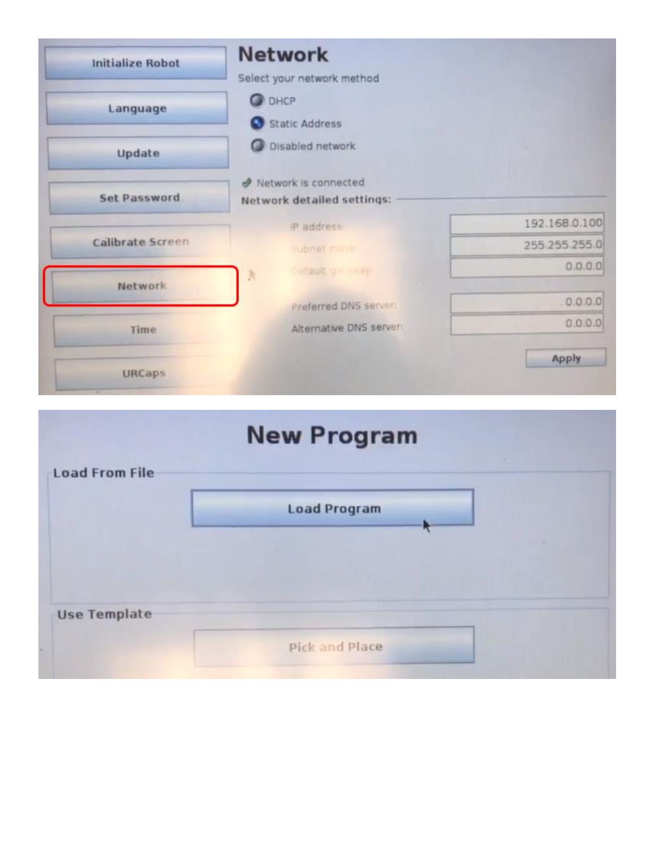| <b>Initialize Robot</b> | <b>Network</b>             |               |
|-------------------------|----------------------------|---------------|
|                         | Select your network method |               |
| Language                | <b>DHCP</b>                |               |
|                         | Static Address             |               |
| Update                  | <b>O</b> Disabled network  |               |
|                         | Network is connected       |               |
| <b>Set Password</b>     | Network detailed settings: |               |
|                         | IP address:                | 192.168.0.100 |
| Calibrate Screen        | Subnet mask                | 255.255.255.0 |
| Network                 | Definuit g anay<br>J.      | 0.0.0.0       |
|                         | Preferred DNS server:      | 0.0.0.0       |
| <b>Time</b>             | Alternative DNS server:    | 0.0.0.0       |
|                         |                            | Apply         |
| <b>URCaps</b>           |                            |               |

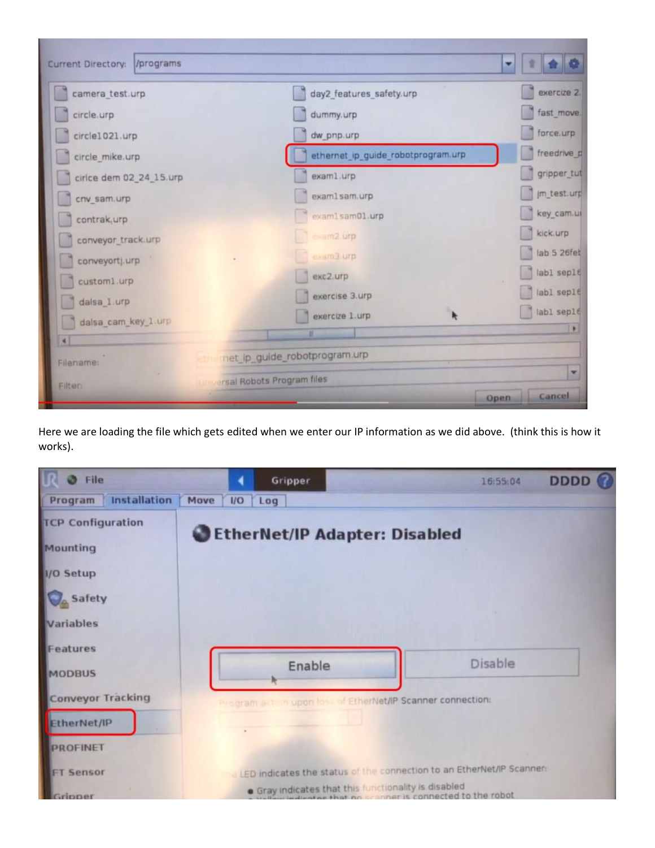| Current Directory: /programs |                                    | 堂<br>۰            |
|------------------------------|------------------------------------|-------------------|
| camera_test.urp              | day2_features_safety.urp           | exercize 2.       |
| circle.urp                   | dummy.urp                          | fast_move.        |
| circle1021.urp               | dw_pnp.urp                         | force.urp         |
| circle_mike.urp              | ethernet_ip_guide_robotprogram.urp | freedrive_p       |
| cirice dem 02_24_15.urp      | exam1.urp                          | gripper_tut       |
| cnv_sam.urp                  | exam1sam.urp                       | Im_test.urp       |
| contrak, urp                 | examlsam01.urp                     | key_cam.ul        |
| conveyor_track.urp           | exam2.urp                          | kick.urp          |
| conveyortj.urp               | exam3.urp                          | lab 5 26fet       |
| custom1.urp                  | exc2.urp                           | labl seple        |
| dalsa_1.urp                  | exercise 3.urp                     | labl seplé        |
| dalsa_cam_key_1.urp          | exercize 1.urp                     | labl sep16<br>T K |
| $\left  \cdot \right $       |                                    |                   |
| Filename:                    | net ip guide robotprogram.urp      |                   |
| <b>Filter:</b>               | <b>Insal Robots Program files</b>  | ×                 |
|                              |                                    | Cancel<br>Open    |

Here we are loading the file which gets edited when we enter our IP information as we did above. (think this is how it works).